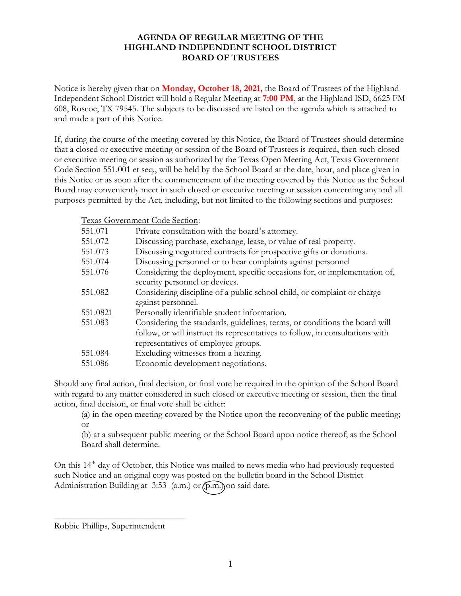## **AGENDA OF REGULAR MEETING OF THE HIGHLAND INDEPENDENT SCHOOL DISTRICT BOARD OF TRUSTEES**

Notice is hereby given that on **Monday, October 18, 2021,** the Board of Trustees of the Highland Independent School District will hold a Regular Meeting at **7:00 PM**, at the Highland ISD, 6625 FM 608, Roscoe, TX 79545. The subjects to be discussed are listed on the agenda which is attached to and made a part of this Notice.

If, during the course of the meeting covered by this Notice, the Board of Trustees should determine that a closed or executive meeting or session of the Board of Trustees is required, then such closed or executive meeting or session as authorized by the Texas Open Meeting Act, Texas Government Code Section 551.001 et seq., will be held by the School Board at the date, hour, and place given in this Notice or as soon after the commencement of the meeting covered by this Notice as the School Board may conveniently meet in such closed or executive meeting or session concerning any and all purposes permitted by the Act, including, but not limited to the following sections and purposes:

Texas Government Code Section:

| 551.071  | Private consultation with the board's attorney.                                                                                                                                                    |
|----------|----------------------------------------------------------------------------------------------------------------------------------------------------------------------------------------------------|
| 551.072  | Discussing purchase, exchange, lease, or value of real property.                                                                                                                                   |
| 551.073  | Discussing negotiated contracts for prospective gifts or donations.                                                                                                                                |
| 551.074  | Discussing personnel or to hear complaints against personnel                                                                                                                                       |
| 551.076  | Considering the deployment, specific occasions for, or implementation of,<br>security personnel or devices.                                                                                        |
| 551.082  | Considering discipline of a public school child, or complaint or charge<br>against personnel.                                                                                                      |
| 551.0821 | Personally identifiable student information.                                                                                                                                                       |
| 551.083  | Considering the standards, guidelines, terms, or conditions the board will<br>follow, or will instruct its representatives to follow, in consultations with<br>representatives of employee groups. |
| 551.084  | Excluding witnesses from a hearing.                                                                                                                                                                |
| 551.086  | Economic development negotiations.                                                                                                                                                                 |

Should any final action, final decision, or final vote be required in the opinion of the School Board with regard to any matter considered in such closed or executive meeting or session, then the final action, final decision, or final vote shall be either:

(a) in the open meeting covered by the Notice upon the reconvening of the public meeting; or

(b) at a subsequent public meeting or the School Board upon notice thereof; as the School Board shall determine.

On this 14<sup>th</sup> day of October, this Notice was mailed to news media who had previously requested such Notice and an original copy was posted on the bulletin board in the School District Administration Building at 3:53 (a.m.) or (p.m.) on said date.

Robbie Phillips, Superintendent

 $\overline{\phantom{a}}$  , where  $\overline{\phantom{a}}$  , where  $\overline{\phantom{a}}$  , where  $\overline{\phantom{a}}$